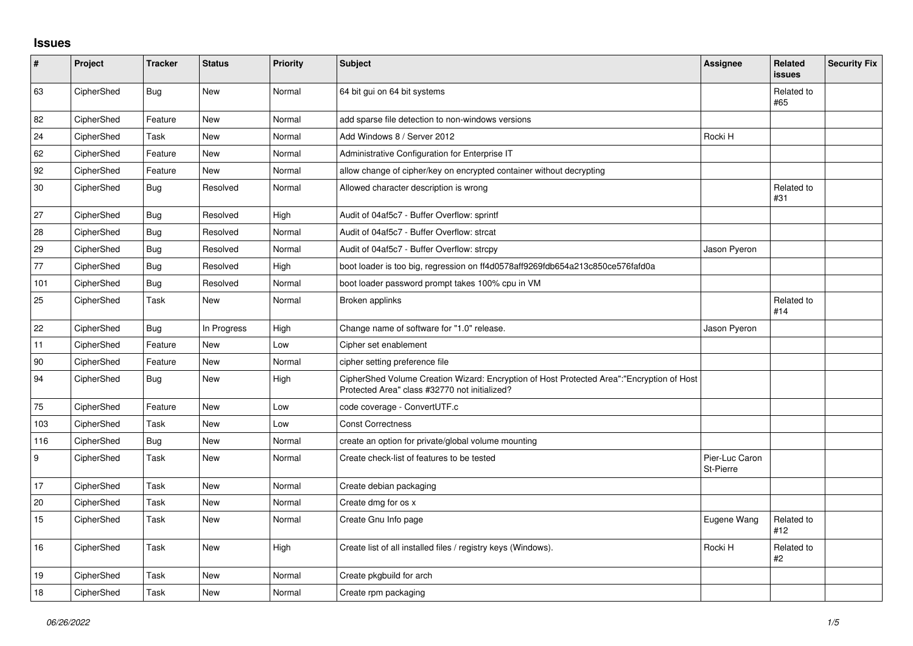## **Issues**

| $\sharp$ | Project    | <b>Tracker</b> | <b>Status</b> | <b>Priority</b> | <b>Subject</b>                                                                                                                             | <b>Assignee</b>             | Related<br><b>issues</b> | <b>Security Fix</b> |
|----------|------------|----------------|---------------|-----------------|--------------------------------------------------------------------------------------------------------------------------------------------|-----------------------------|--------------------------|---------------------|
| 63       | CipherShed | <b>Bug</b>     | <b>New</b>    | Normal          | 64 bit gui on 64 bit systems                                                                                                               |                             | Related to<br>#65        |                     |
| 82       | CipherShed | Feature        | <b>New</b>    | Normal          | add sparse file detection to non-windows versions                                                                                          |                             |                          |                     |
| 24       | CipherShed | Task           | New           | Normal          | Add Windows 8 / Server 2012                                                                                                                | Rocki H                     |                          |                     |
| 62       | CipherShed | Feature        | <b>New</b>    | Normal          | Administrative Configuration for Enterprise IT                                                                                             |                             |                          |                     |
| 92       | CipherShed | Feature        | New           | Normal          | allow change of cipher/key on encrypted container without decrypting                                                                       |                             |                          |                     |
| $30\,$   | CipherShed | Bug            | Resolved      | Normal          | Allowed character description is wrong                                                                                                     |                             | Related to<br>#31        |                     |
| 27       | CipherShed | Bug            | Resolved      | High            | Audit of 04af5c7 - Buffer Overflow: sprintf                                                                                                |                             |                          |                     |
| 28       | CipherShed | <b>Bug</b>     | Resolved      | Normal          | Audit of 04af5c7 - Buffer Overflow: strcat                                                                                                 |                             |                          |                     |
| 29       | CipherShed | <b>Bug</b>     | Resolved      | Normal          | Audit of 04af5c7 - Buffer Overflow: strcpy                                                                                                 | Jason Pyeron                |                          |                     |
| 77       | CipherShed | <b>Bug</b>     | Resolved      | High            | boot loader is too big, regression on ff4d0578aff9269fdb654a213c850ce576fafd0a                                                             |                             |                          |                     |
| 101      | CipherShed | <b>Bug</b>     | Resolved      | Normal          | boot loader password prompt takes 100% cpu in VM                                                                                           |                             |                          |                     |
| 25       | CipherShed | Task           | New           | Normal          | Broken applinks                                                                                                                            |                             | Related to<br>#14        |                     |
| 22       | CipherShed | <b>Bug</b>     | In Progress   | High            | Change name of software for "1.0" release.                                                                                                 | Jason Pyeron                |                          |                     |
| 11       | CipherShed | Feature        | New           | Low             | Cipher set enablement                                                                                                                      |                             |                          |                     |
| 90       | CipherShed | Feature        | New           | Normal          | cipher setting preference file                                                                                                             |                             |                          |                     |
| 94       | CipherShed | <b>Bug</b>     | New           | High            | CipherShed Volume Creation Wizard: Encryption of Host Protected Area":"Encryption of Host<br>Protected Area" class #32770 not initialized? |                             |                          |                     |
| 75       | CipherShed | Feature        | <b>New</b>    | Low             | code coverage - ConvertUTF.c                                                                                                               |                             |                          |                     |
| 103      | CipherShed | Task           | New           | Low             | <b>Const Correctness</b>                                                                                                                   |                             |                          |                     |
| 116      | CipherShed | Bug            | New           | Normal          | create an option for private/global volume mounting                                                                                        |                             |                          |                     |
| 9        | CipherShed | Task           | <b>New</b>    | Normal          | Create check-list of features to be tested                                                                                                 | Pier-Luc Caron<br>St-Pierre |                          |                     |
| 17       | CipherShed | Task           | <b>New</b>    | Normal          | Create debian packaging                                                                                                                    |                             |                          |                     |
| 20       | CipherShed | Task           | <b>New</b>    | Normal          | Create dmg for os x                                                                                                                        |                             |                          |                     |
| 15       | CipherShed | Task           | <b>New</b>    | Normal          | Create Gnu Info page                                                                                                                       | Eugene Wang                 | Related to<br>#12        |                     |
| 16       | CipherShed | Task           | New           | High            | Create list of all installed files / registry keys (Windows).                                                                              | Rocki H                     | Related to<br>#2         |                     |
| 19       | CipherShed | Task           | New           | Normal          | Create pkgbuild for arch                                                                                                                   |                             |                          |                     |
| 18       | CipherShed | Task           | New           | Normal          | Create rpm packaging                                                                                                                       |                             |                          |                     |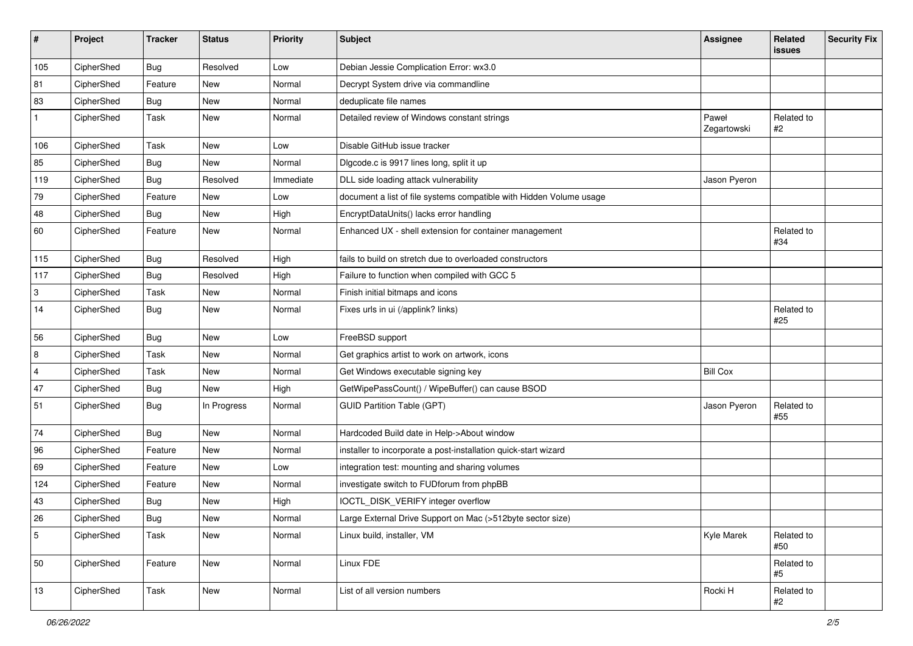| #              | Project    | <b>Tracker</b> | <b>Status</b> | Priority  | <b>Subject</b>                                                      | <b>Assignee</b>      | Related<br>issues | <b>Security Fix</b> |
|----------------|------------|----------------|---------------|-----------|---------------------------------------------------------------------|----------------------|-------------------|---------------------|
| 105            | CipherShed | Bug            | Resolved      | Low       | Debian Jessie Complication Error: wx3.0                             |                      |                   |                     |
| 81             | CipherShed | Feature        | New           | Normal    | Decrypt System drive via commandline                                |                      |                   |                     |
| 83             | CipherShed | <b>Bug</b>     | New           | Normal    | deduplicate file names                                              |                      |                   |                     |
| $\mathbf{1}$   | CipherShed | Task           | New           | Normal    | Detailed review of Windows constant strings                         | Paweł<br>Zegartowski | Related to<br>#2  |                     |
| 106            | CipherShed | Task           | <b>New</b>    | Low       | Disable GitHub issue tracker                                        |                      |                   |                     |
| 85             | CipherShed | <b>Bug</b>     | New           | Normal    | Digcode.c is 9917 lines long, split it up                           |                      |                   |                     |
| 119            | CipherShed | <b>Bug</b>     | Resolved      | Immediate | DLL side loading attack vulnerability                               | Jason Pyeron         |                   |                     |
| 79             | CipherShed | Feature        | New           | Low       | document a list of file systems compatible with Hidden Volume usage |                      |                   |                     |
| 48             | CipherShed | <b>Bug</b>     | New           | High      | EncryptDataUnits() lacks error handling                             |                      |                   |                     |
| 60             | CipherShed | Feature        | New           | Normal    | Enhanced UX - shell extension for container management              |                      | Related to<br>#34 |                     |
| 115            | CipherShed | <b>Bug</b>     | Resolved      | High      | fails to build on stretch due to overloaded constructors            |                      |                   |                     |
| 117            | CipherShed | <b>Bug</b>     | Resolved      | High      | Failure to function when compiled with GCC 5                        |                      |                   |                     |
| 3              | CipherShed | Task           | New           | Normal    | Finish initial bitmaps and icons                                    |                      |                   |                     |
| 14             | CipherShed | <b>Bug</b>     | New           | Normal    | Fixes urls in ui (/applink? links)                                  |                      | Related to<br>#25 |                     |
| 56             | CipherShed | <b>Bug</b>     | New           | Low       | FreeBSD support                                                     |                      |                   |                     |
| 8              | CipherShed | Task           | New           | Normal    | Get graphics artist to work on artwork, icons                       |                      |                   |                     |
| $\overline{4}$ | CipherShed | Task           | New           | Normal    | Get Windows executable signing key                                  | <b>Bill Cox</b>      |                   |                     |
| 47             | CipherShed | <b>Bug</b>     | New           | High      | GetWipePassCount() / WipeBuffer() can cause BSOD                    |                      |                   |                     |
| 51             | CipherShed | <b>Bug</b>     | In Progress   | Normal    | <b>GUID Partition Table (GPT)</b>                                   | Jason Pyeron         | Related to<br>#55 |                     |
| 74             | CipherShed | Bug            | New           | Normal    | Hardcoded Build date in Help->About window                          |                      |                   |                     |
| 96             | CipherShed | Feature        | New           | Normal    | installer to incorporate a post-installation quick-start wizard     |                      |                   |                     |
| 69             | CipherShed | Feature        | New           | Low       | integration test: mounting and sharing volumes                      |                      |                   |                     |
| 124            | CipherShed | Feature        | <b>New</b>    | Normal    | investigate switch to FUDforum from phpBB                           |                      |                   |                     |
| 43             | CipherShed | Bug            | New           | High      | IOCTL_DISK_VERIFY integer overflow                                  |                      |                   |                     |
| 26             | CipherShed | Bug            | New           | Normal    | Large External Drive Support on Mac (>512byte sector size)          |                      |                   |                     |
| 5              | CipherShed | Task           | New           | Normal    | Linux build, installer, VM                                          | Kyle Marek           | Related to<br>#50 |                     |
| 50             | CipherShed | Feature        | New           | Normal    | Linux FDE                                                           |                      | Related to<br>#5  |                     |
| 13             | CipherShed | Task           | New           | Normal    | List of all version numbers                                         | Rocki H              | Related to<br>#2  |                     |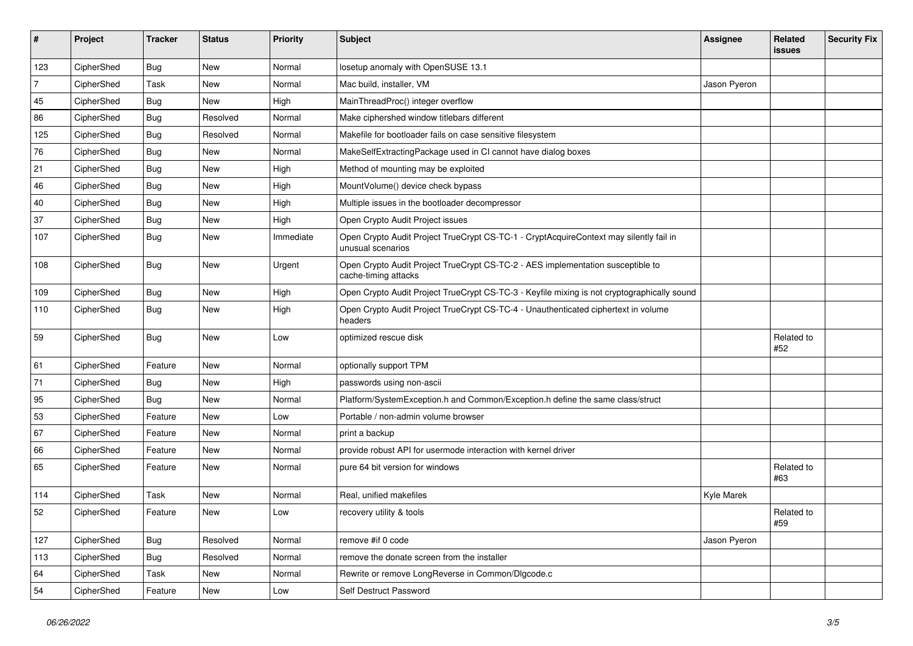| #   | Project    | <b>Tracker</b> | <b>Status</b> | Priority  | <b>Subject</b>                                                                                              | <b>Assignee</b> | Related<br><b>issues</b> | <b>Security Fix</b> |
|-----|------------|----------------|---------------|-----------|-------------------------------------------------------------------------------------------------------------|-----------------|--------------------------|---------------------|
| 123 | CipherShed | <b>Bug</b>     | New           | Normal    | losetup anomaly with OpenSUSE 13.1                                                                          |                 |                          |                     |
| 7   | CipherShed | Task           | New           | Normal    | Mac build, installer, VM                                                                                    | Jason Pyeron    |                          |                     |
| 45  | CipherShed | <b>Bug</b>     | New           | High      | MainThreadProc() integer overflow                                                                           |                 |                          |                     |
| 86  | CipherShed | <b>Bug</b>     | Resolved      | Normal    | Make ciphershed window titlebars different                                                                  |                 |                          |                     |
| 125 | CipherShed | <b>Bug</b>     | Resolved      | Normal    | Makefile for bootloader fails on case sensitive filesystem                                                  |                 |                          |                     |
| 76  | CipherShed | <b>Bug</b>     | New           | Normal    | MakeSelfExtractingPackage used in CI cannot have dialog boxes                                               |                 |                          |                     |
| 21  | CipherShed | <b>Bug</b>     | New           | High      | Method of mounting may be exploited                                                                         |                 |                          |                     |
| 46  | CipherShed | Bug            | New           | High      | MountVolume() device check bypass                                                                           |                 |                          |                     |
| 40  | CipherShed | <b>Bug</b>     | New           | High      | Multiple issues in the bootloader decompressor                                                              |                 |                          |                     |
| 37  | CipherShed | <b>Bug</b>     | New           | High      | Open Crypto Audit Project issues                                                                            |                 |                          |                     |
| 107 | CipherShed | <b>Bug</b>     | New           | Immediate | Open Crypto Audit Project TrueCrypt CS-TC-1 - CryptAcquireContext may silently fail in<br>unusual scenarios |                 |                          |                     |
| 108 | CipherShed | <b>Bug</b>     | New           | Urgent    | Open Crypto Audit Project TrueCrypt CS-TC-2 - AES implementation susceptible to<br>cache-timing attacks     |                 |                          |                     |
| 109 | CipherShed | <b>Bug</b>     | New           | High      | Open Crypto Audit Project TrueCrypt CS-TC-3 - Keyfile mixing is not cryptographically sound                 |                 |                          |                     |
| 110 | CipherShed | Bug            | New           | High      | Open Crypto Audit Project TrueCrypt CS-TC-4 - Unauthenticated ciphertext in volume<br>headers               |                 |                          |                     |
| 59  | CipherShed | <b>Bug</b>     | New           | Low       | optimized rescue disk                                                                                       |                 | Related to<br>#52        |                     |
| 61  | CipherShed | Feature        | New           | Normal    | optionally support TPM                                                                                      |                 |                          |                     |
| 71  | CipherShed | <b>Bug</b>     | New           | High      | passwords using non-ascii                                                                                   |                 |                          |                     |
| 95  | CipherShed | <b>Bug</b>     | New           | Normal    | Platform/SystemException.h and Common/Exception.h define the same class/struct                              |                 |                          |                     |
| 53  | CipherShed | Feature        | New           | Low       | Portable / non-admin volume browser                                                                         |                 |                          |                     |
| 67  | CipherShed | Feature        | New           | Normal    | print a backup                                                                                              |                 |                          |                     |
| 66  | CipherShed | Feature        | New           | Normal    | provide robust API for usermode interaction with kernel driver                                              |                 |                          |                     |
| 65  | CipherShed | Feature        | New           | Normal    | pure 64 bit version for windows                                                                             |                 | Related to<br>#63        |                     |
| 114 | CipherShed | Task           | New           | Normal    | Real, unified makefiles                                                                                     | Kyle Marek      |                          |                     |
| 52  | CipherShed | Feature        | <b>New</b>    | Low       | recovery utility & tools                                                                                    |                 | Related to<br>#59        |                     |
| 127 | CipherShed | <b>Bug</b>     | Resolved      | Normal    | remove #if 0 code                                                                                           | Jason Pyeron    |                          |                     |
| 113 | CipherShed | <b>Bug</b>     | Resolved      | Normal    | remove the donate screen from the installer                                                                 |                 |                          |                     |
| 64  | CipherShed | Task           | New           | Normal    | Rewrite or remove LongReverse in Common/Dlgcode.c                                                           |                 |                          |                     |
| 54  | CipherShed | Feature        | New           | Low       | Self Destruct Password                                                                                      |                 |                          |                     |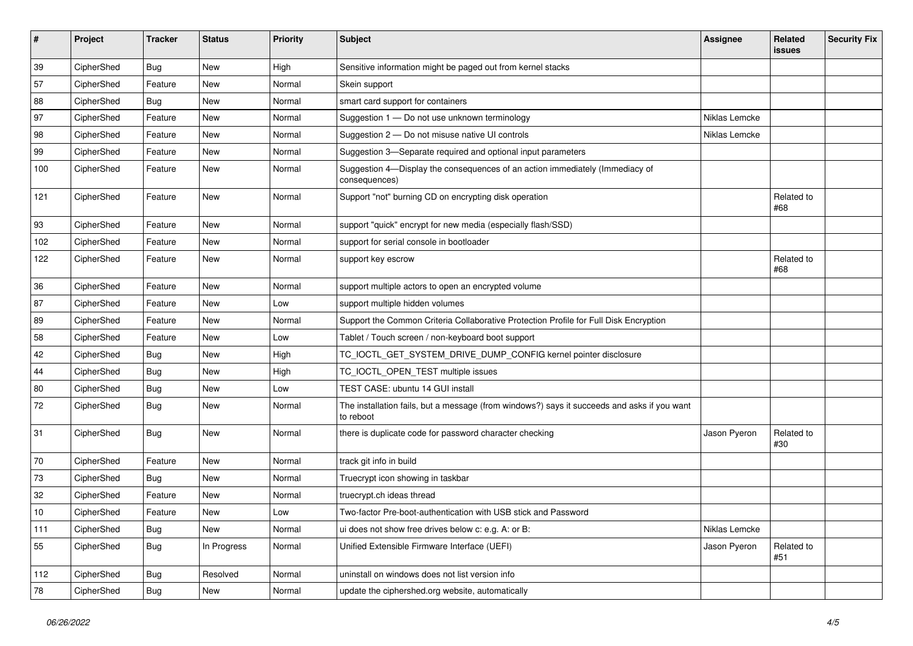| $\pmb{\#}$ | Project    | <b>Tracker</b> | <b>Status</b> | <b>Priority</b> | <b>Subject</b>                                                                                           | <b>Assignee</b> | Related<br>issues | <b>Security Fix</b> |
|------------|------------|----------------|---------------|-----------------|----------------------------------------------------------------------------------------------------------|-----------------|-------------------|---------------------|
| 39         | CipherShed | <b>Bug</b>     | New           | High            | Sensitive information might be paged out from kernel stacks                                              |                 |                   |                     |
| 57         | CipherShed | Feature        | New           | Normal          | Skein support                                                                                            |                 |                   |                     |
| 88         | CipherShed | Bug            | New           | Normal          | smart card support for containers                                                                        |                 |                   |                     |
| 97         | CipherShed | Feature        | New           | Normal          | Suggestion 1 - Do not use unknown terminology                                                            | Niklas Lemcke   |                   |                     |
| 98         | CipherShed | Feature        | New           | Normal          | Suggestion 2 – Do not misuse native UI controls                                                          | Niklas Lemcke   |                   |                     |
| 99         | CipherShed | Feature        | New           | Normal          | Suggestion 3-Separate required and optional input parameters                                             |                 |                   |                     |
| 100        | CipherShed | Feature        | New           | Normal          | Suggestion 4-Display the consequences of an action immediately (Immediacy of<br>consequences)            |                 |                   |                     |
| 121        | CipherShed | Feature        | New           | Normal          | Support "not" burning CD on encrypting disk operation                                                    |                 | Related to<br>#68 |                     |
| 93         | CipherShed | Feature        | New           | Normal          | support "quick" encrypt for new media (especially flash/SSD)                                             |                 |                   |                     |
| 102        | CipherShed | Feature        | New           | Normal          | support for serial console in bootloader                                                                 |                 |                   |                     |
| 122        | CipherShed | Feature        | New           | Normal          | support key escrow                                                                                       |                 | Related to<br>#68 |                     |
| 36         | CipherShed | Feature        | New           | Normal          | support multiple actors to open an encrypted volume                                                      |                 |                   |                     |
| 87         | CipherShed | Feature        | New           | Low             | support multiple hidden volumes                                                                          |                 |                   |                     |
| 89         | CipherShed | Feature        | New           | Normal          | Support the Common Criteria Collaborative Protection Profile for Full Disk Encryption                    |                 |                   |                     |
| 58         | CipherShed | Feature        | New           | Low             | Tablet / Touch screen / non-keyboard boot support                                                        |                 |                   |                     |
| 42         | CipherShed | Bug            | New           | High            | TC_IOCTL_GET_SYSTEM_DRIVE_DUMP_CONFIG kernel pointer disclosure                                          |                 |                   |                     |
| 44         | CipherShed | <b>Bug</b>     | New           | High            | TC_IOCTL_OPEN_TEST multiple issues                                                                       |                 |                   |                     |
| 80         | CipherShed | <b>Bug</b>     | New           | Low             | TEST CASE: ubuntu 14 GUI install                                                                         |                 |                   |                     |
| 72         | CipherShed | <b>Bug</b>     | New           | Normal          | The installation fails, but a message (from windows?) says it succeeds and asks if you want<br>to reboot |                 |                   |                     |
| 31         | CipherShed | <b>Bug</b>     | New           | Normal          | there is duplicate code for password character checking                                                  | Jason Pyeron    | Related to<br>#30 |                     |
| 70         | CipherShed | Feature        | <b>New</b>    | Normal          | track git info in build                                                                                  |                 |                   |                     |
| 73         | CipherShed | <b>Bug</b>     | New           | Normal          | Truecrypt icon showing in taskbar                                                                        |                 |                   |                     |
| 32         | CipherShed | Feature        | New           | Normal          | truecrypt.ch ideas thread                                                                                |                 |                   |                     |
| 10         | CipherShed | Feature        | New           | Low             | Two-factor Pre-boot-authentication with USB stick and Password                                           |                 |                   |                     |
| 111        | CipherShed | Bug            | New           | Normal          | ui does not show free drives below c: e.g. A: or B:                                                      | Niklas Lemcke   |                   |                     |
| 55         | CipherShed | <b>Bug</b>     | In Progress   | Normal          | Unified Extensible Firmware Interface (UEFI)                                                             | Jason Pyeron    | Related to<br>#51 |                     |
| 112        | CipherShed | Bug            | Resolved      | Normal          | uninstall on windows does not list version info                                                          |                 |                   |                     |
| 78         | CipherShed | <b>Bug</b>     | New           | Normal          | update the ciphershed.org website, automatically                                                         |                 |                   |                     |